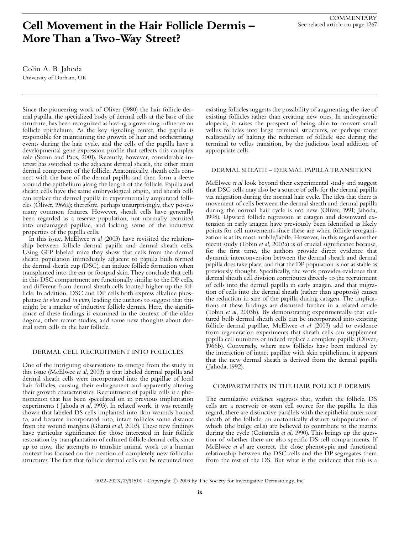### ix

# Cell Movement in the Hair Follicle Dermis -More Than a Two-Way Street?

Colin A. B. Jahoda University of Durham, UK

Since the pioneering work of Oliver (1980) the hair follicle dermal papilla, the specialized body of dermal cells at the base of the structure, has been recognized as having a governing influence on follicle epithelium. As the key signaling center, the papilla is responsible for maintaining the growth of hair and orchestrating events during the hair cycle, and the cells of the papilla have a developmental gene expression profile that reflects this complex role (Stenn and Paus, 2001). Recently, however, considerable interest has switched to the adjacent dermal sheath, the other main dermal component of the follicle. Anatomically, sheath cells connect with the base of the dermal papilla and then form a sleeve around the epithelium along the length of the follicle. Papilla and sheath cells have the same embryological origin, and sheath cells can replace the dermal papilla in experimentally amputated follicles (Oliver, 1966a); therefore, perhaps unsurprisingly, they possess many common features. However, sheath cells have generally been regarded as a reserve population, not normally recruited into undamaged papillae, and lacking some of the inductive properties of the papilla cells.

In this issue, McElwee et al (2003) have revisited the relationship between follicle dermal papilla and dermal sheath cells. Using GFP labeled mice they show that cells from the dermal sheath population immediately adjacent to papilla bulb termed the dermal sheath cup (DSC), can induce follicle formation when transplanted into the ear or footpad skin. They conclude that cells in this DSC compartment are functionally similar to the DP cells, and different from dermal sheath cells located higher up the follicle. In addition, DSC and DP cells both express alkaline phosphatase in vivo and in vitro, leading the authors to suggest that this might be a marker of inductive follicle dermis. Here, the significance of these findings is examined in the context of the older dogma, other recent studies, and some new thoughts about dermal stem cells in the hair follicle.

## DERMAL CELL RECRUITMENT INTO FOLLICLES

One of the intriguing observations to emerge from the study in this issue (McElwee et al, 2003) is that labeled dermal papilla and dermal sheath cells were incorporated into the papillae of local hair follicles, causing their enlargement and apparently altering their growth characteristics. Recruitment of papilla cells is a phenomenon that has been speculated on in previous implantation experiments ( Jahoda et al, 1993). In related work, it was recently shown that labeled DS cells implanted into skin wounds homed to, and became incorporated into, intact follicles some distance from the wound margins (Gharzi et al, 2003). These new findings have particular significance for those interested in hair follicle restoration by transplantation of cultured follicle dermal cells, since up to now, the attempts to translate animal work to a human context has focused on the creation of completely new follicular structures. The fact that follicle dermal cells can be recruited into existing follicles suggests the possibility of augmenting the size of existing follicles rather than creating new ones. In androgenetic alopecia, it raises the prospect of being able to convert small vellus follicles into large terminal structures, or perhaps more realistically of halting the reduction of follicle size during the terminal to vellus transition, by the judicious local addition of appropriate cells.

## DERMAL SHEATH - DERMAL PAPILLA TRANSITION

McElwee *et al* look beyond their experimental study and suggest that DSC cells may also be a source of cells for the dermal papilla via migration during the normal hair cycle. The idea that there is movement of cells between the dermal sheath and dermal papilla during the normal hair cycle is not new (Oliver, 1991; Jahoda, 1998). Upward follicle regression at catagen and downward extension in early anagen have previously been identified as likely points for cell movements since these are when follicle reorganization is at its most mobile/labile. However, in this regard another recent study (Tobin et al, 2003a) is of crucial significance because, for the first time, the authors provide direct evidence that dynamic interconversion between the dermal sheath and dermal papilla does take place, and that the DP population is not as stable as previously thought. Specifically, the work provides evidence that dermal sheath cell division contributes directly to the recruitment of cells into the dermal papilla in early anagen, and that migration of cells into the dermal sheath (rather than apoptosis) causes the reduction in size of the papilla during catagen. The implications of these findings are discussed further in a related article (Tobin et al, 2003b). By demonstrating experimentally that cultured bulb dermal sheath cells can be incorporated into existing follicle dermal papillae, McElwee et al (2003) add to evidence from regeneration experiments that sheath cells can supplement papilla cell numbers or indeed replace a complete papilla (Oliver, 1966b). Conversely, where new follicles have been induced by the interaction of intact papillae with skin epithelium, it appears that the new dermal sheath is derived from the dermal papilla ( Jahoda, 1992).

### COMPARTMENTS IN THE HAIR FOLLICLE DERMIS

The cumulative evidence suggests that, within the follicle, DS cells are a reservoir or stem cell source for the papilla. In this regard, there are distinctive parallels with the epithelial outer root sheath of the follicle, an anatomically distinct subpopulation of which (the bulge cells) are believed to contribute to the matrix during the cycle (Cotsarelis et al, 1990). This brings up the question of whether there are also specific DS cell compartments. If McElwee et al are correct, the close phenotypic and functional relationship between the DSC cells and the DP segregates them from the rest of the DS. But what is the evidence that this is a

0022-202X/03/\$15.00 · Copyright  $\circled{c}$  2003 by The Society for Investigative Dermatology, Inc.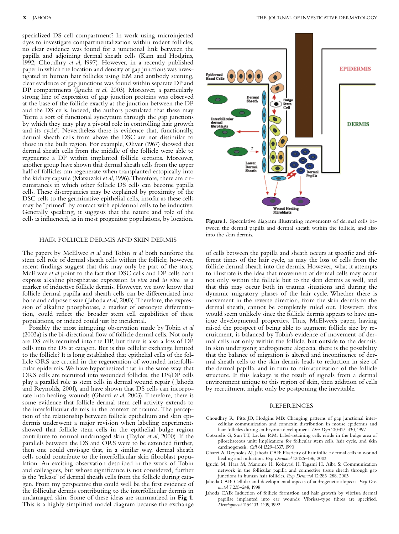specialized DS cell compartment? In work using microinjected dyes to investigate compartmentalization within rodent follicles, no clear evidence was found for a junctional link between the papilla and adjoining dermal sheath cells (Kam and Hodgins, 1992; Choudhry et al, 1997). However, in a recently published paper in which the location and density of gap junctions was investigated in human hair follicles using EM and antibody staining, clear evidence of gap junctions was found within separate DP and DP compartments (Iguchi et al, 2003). Moreover, a particularly strong line of expression of gap junction proteins was observed at the base of the follicle exactly at the junction between the DP and the DS cells. Indeed, the authors postulated that these may ''form a sort of functional syncytium through the gap junctions by which they may play a pivotal role in controlling hair growth and its cycle''. Nevertheless there is evidence that, functionally, dermal sheath cells from above the DSC are not dissimilar to those in the bulb region. For example, Oliver (1967) showed that dermal sheath cells from the middle of the follicle were able to regenerate a DP within implanted follicle sections. Moreover, another group have shown that dermal sheath cells from the upper half of follicles can regenerate when transplanted ectopically into the kidney capsule (Matsuzaki et al, 1996). Therefore, there are circumstances in which other follicle DS cells can become papilla cells. These discrepancies may be explained by proximity of the DSC cells to the germinative epithelial cells, insofar as these cells may be "primed" by contact with epidermal cells to be inductive. Generally speaking, it suggests that the nature and role of the cells is influenced, as in most progenitor populations, by location.

#### HAIR FOLLICLE DERMIS AND SKIN DERMIS

The papers by McElwee et al and Tobin et al both reinforce the stem cell role of dermal sheath cells within the follicle; however, recent findings suggest that this may only be part of the story. McElwee et al point to the fact that DSC cells and DP cells both express alkaline phosphatase expression in vivo and in vitro, as a marker of inductive follicle dermis. However, we now know that follicle dermal papilla and sheath cells can be differentiated into bone and adipose tissue ( Jahoda et al, 2003). Therefore, the expression of alkaline phosphotase, a marker of osteocyte differentiation, could reflect the broader stem cell capabilities of these populations, or indeed could just be incidental.

Possibly the most intriguing observation made by Tobin et al (2003a) is the bi-directional flow of follicle dermal cells. Not only are DS cells recruited into the DP, but there is also a loss of DP cells into the DS at catagen. But is this cellular exchange limited to the follicle? It is long established that epithelial cells of the follicle ORS are crucial in the regeneration of wounded interfollicular epidermis.We have hypothesized that in the same way that ORS cells are recruited into wounded follicles, the DS/DP cells play a parallel role as stem cells in dermal wound repair ( Jahoda and Reynolds, 2001), and have shown that DS cells can incorporate into healing wounds (Gharzi et al, 2003). Therefore, there is some evidence that follicle dermal stem cell activity extends to the interfollicular dermis in the context of trauma. The perception of the relationship between follicle epithelium and skin epidermis underwent a major revision when labeling experiments showed that follicle stem cells in the epithelial bulge region contribute to normal undamaged skin (Taylor et al, 2000). If the parallels between the DS and ORS were to be extended further, then one could envisage that, in a similar way, dermal sheath cells could contribute to the interfollicular skin ¢broblast population. An exciting observation described in the work of Tobin and colleagues, but whose significance is not considered, further is the "release" of dermal sheath cells from the follicle during catagen. From my perspective this could well be the first evidence of the follicular dermis contributing to the interfollicular dermis in undamaged skin. Some of these ideas are summarized in Fig 1. This is a highly simplified model diagram because the exchange



Figure 1. Speculative diagram illustrating movements of dermal cells between the dermal papilla and dermal sheath within the follicle, and also into the skin dermis.

of cells between the papilla and sheath occurs at specific and different times of the hair cycle, as may the loss of cells from the follicle dermal sheath into the dermis. However, what it attempts to illustrate is the idea that movement of dermal cells may occur not only within the follicle but to the skin dermis as well, and that this may occur both in trauma situations and during the dynamic migratory phases of the hair cycle. Whether there is movement in the reverse direction, from the skin dermis to the dermal sheath, cannot be completely ruled out. However, this would seem unlikely since the follicle dermis appears to have unique developmental properties. Thus, McElwee's paper, having raised the prospect of being able to augment follicle size by recruitment, is balanced by Tobin's evidence of movement of dermal cells not only within the follicle, but outside to the dermis. In skin undergoing androgenetic alopecia, there is the possibility that the balance of migration is altered and incontinence of dermal sheath cells to the skin dermis leads to reduction in size of the dermal papilla, and in turn to miniaturization of the follicle structure. If this leakage is the result of signals from a dermal environment unique to this region of skin, then addition of cells by recruitment might only be postponing the inevitable.

#### **REFERENCES**

- Choudhry R, Pitts JD, Hodgins MB: Changing patterns of gap junctional intercellular communication and connexin distribution in mouse epidermis and hair follicles during embryonic development. Dev Dyn 210:417-430, 1997
- Cotsarelis G, Sun TT, Lavker RM: Label-retaining cells reside in the bulge area of pilosebaceous unit: Implications for follicular stem cells, hair cycle, and skin carcinogenesis. Cell 61:1329^1337, 1990
- Gharzi A, Reynolds AJ, Jahoda CAB: Plasticity of hair follicle dermal cells in wound healing and induction. Exp Dermatol 12:126-136, 2003
- Iguchi M, Hara M, Manome H, Kobayasi H, Tagami H, Aiba S: Communication network in the follicular papilla and connective tissue sheath through gap junctions in human hair follicles. Exp Dermatol 12:283-288, 2003
- Jahoda CAB: Cellular and developmental aspects of androgenetic alopecia. Exp Dermatol 7:235-248, 1998
- Jahoda CAB: Induction of follicle formation and hair growth by vibrissa dermal papillae implanted into ear wounds: Vibrissa-type fibres are specified. Development 115:1103^1109, 1992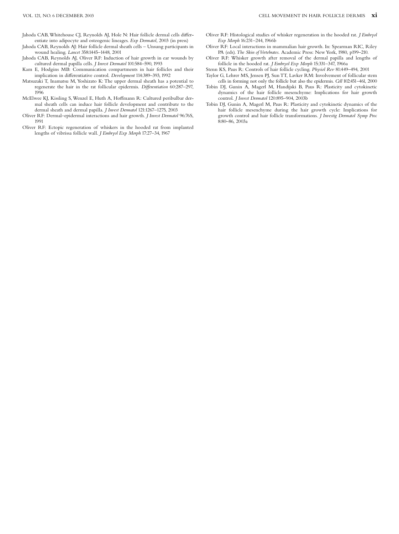- Jahoda CAB, Whitehouse CJ, Reynolds AJ, Hole N: Hair follicle dermal cells differentiate into adipocyte and osteogenic lineages. Exp Dermatol, 2003 (in press)
- Jahoda CAB, Reynolds AJ: Hair follicle dermal sheath cells ^ Unsung participants in wound healing. Lancet 358:1445^1448, 2001
- Jahoda CAB, Reynolds AJ, Oliver RF: Induction of hair growth in ear wounds by cultured dermal papilla cells. *J Invest Dermatol* 101:584-590, 1993
- Kam E, Hodgins MB: Communication compartments in hair follicles and their implication in differentiative control. Development 114:389-393, 1992
- Matsuzaki T, Inamatsu M, Yoshizato K: The upper dermal sheath has a potential to regenerate the hair in the rat follicular epidermis. Differentiation 60:287-297, 1996
- McElwee KJ, Kissling S, Wenzel E, Huth A, Hoffmann R: Cultured peribulbar dermal sheath cells can induce hair follicle development and contribute to the dermal sheath and dermal papilla. *J Invest Dermatol* 121:1267-1275, 2003
- Oliver RF: Dermal-epidermal interactions and hair growth. *J Invest Dermatol* 96:76S, 1991
- Oliver RF: Ectopic regeneration of whiskers in the hooded rat from implanted lengths of vibrissa follicle wall. J Embryol Exp Morph 17:27-34, 1967
- Oliver RF: Histological studies of whisker regeneration in the hooded rat. J Embryol Exp Morph 16:231-244, 1966b
- Oliver RF: Local interactions in mammalian hair growth. In: Spearman RIC, Riley PA (eds). The Skin of Vertebrates. Academic Press: New York, 1980, p199-210.
- Oliver RF: Whisker growth after removal of the dermal papilla and lengths of follicle in the hooded rat. *J Embryol Exp Morph* 15:331-347, 1966a
- Stenn KS, Paus R: Controls of hair follicle cycling. Physiol Rev 81:449-494, 2001 Taylor G, Lehrer MS, Jensen PJ, Sun TT, Lavker RM: Involvement of follicular stem
- cells in forming not only the follicle but also the epidermis. Cell 102:451^461, 2000 Tobin DJ, Gunin A, Magerl M, Handijski B, Paus R: Plasticity and cytokinetic
- dynamics of the hair follicle mesenchyme: Implications for hair growth control. J Invest Dermatol 120:895-904, 2003b
- Tobin DJ, Gunin A, Magerl M, Paus R: Plasticity and cytokinetic dynamics of the hair follicle mesenchyme during the hair growth cycle: Implications for growth control and hair follicle transformations. J Investig Dermatol Symp Proc 8:80^86, 2003a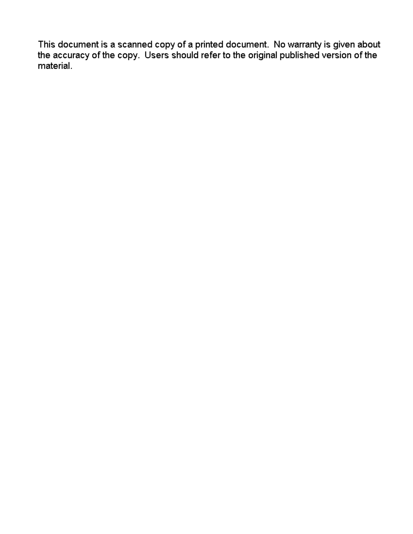This document is a scanned copy of a printed document. No warranty is given about<br>the accuracy of the copy. Users should refer to the original published version of the material.